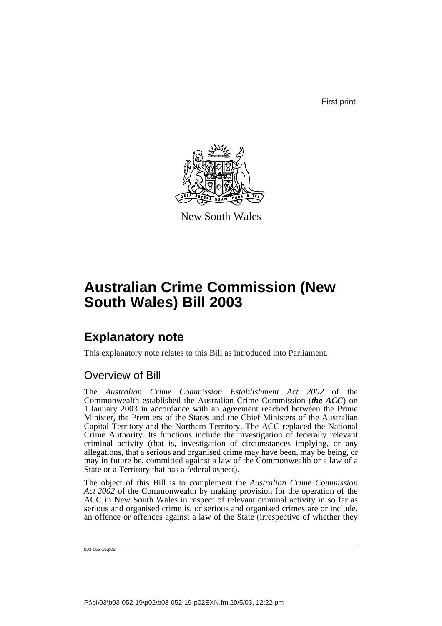First print



New South Wales

# **Australian Crime Commission (New South Wales) Bill 2003**

# **Explanatory note**

This explanatory note relates to this Bill as introduced into Parliament.

# Overview of Bill

The *Australian Crime Commission Establishment Act 2002* of the Commonwealth established the Australian Crime Commission (*the ACC*) on 1 January 2003 in accordance with an agreement reached between the Prime Minister, the Premiers of the States and the Chief Ministers of the Australian Capital Territory and the Northern Territory. The ACC replaced the National Crime Authority. Its functions include the investigation of federally relevant criminal activity (that is, investigation of circumstances implying, or any allegations, that a serious and organised crime may have been, may be being, or may in future be, committed against a law of the Commonwealth or a law of a State or a Territory that has a federal aspect).

The object of this Bill is to complement the *Australian Crime Commission Act 2002* of the Commonwealth by making provision for the operation of the ACC in New South Wales in respect of relevant criminal activity in so far as serious and organised crime is, or serious and organised crimes are or include, an offence or offences against a law of the State (irrespective of whether they

b03-052-19.p02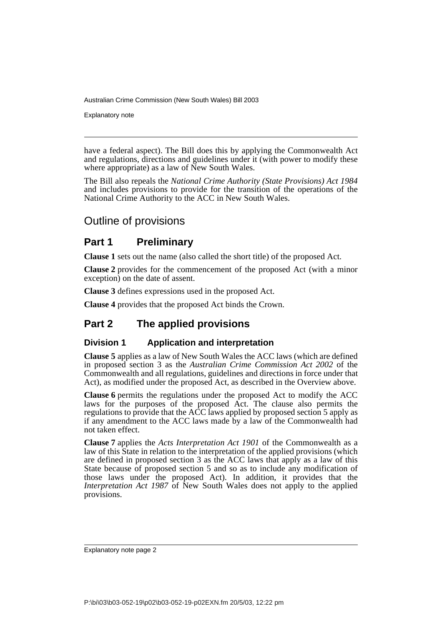Explanatory note

have a federal aspect). The Bill does this by applying the Commonwealth Act and regulations, directions and guidelines under it (with power to modify these where appropriate) as a law of New South Wales.

The Bill also repeals the *National Crime Authority (State Provisions) Act 1984* and includes provisions to provide for the transition of the operations of the National Crime Authority to the ACC in New South Wales.

# Outline of provisions

## **Part 1 Preliminary**

**Clause 1** sets out the name (also called the short title) of the proposed Act.

**Clause 2** provides for the commencement of the proposed Act (with a minor exception) on the date of assent.

**Clause 3** defines expressions used in the proposed Act.

**Clause 4** provides that the proposed Act binds the Crown.

# **Part 2 The applied provisions**

### **Division 1 Application and interpretation**

**Clause 5** applies as a law of New South Wales the ACC laws (which are defined in proposed section 3 as the *Australian Crime Commission Act 2002* of the Commonwealth and all regulations, guidelines and directions in force under that Act), as modified under the proposed Act, as described in the Overview above.

**Clause 6** permits the regulations under the proposed Act to modify the ACC laws for the purposes of the proposed Act. The clause also permits the regulations to provide that the ACC laws applied by proposed section 5 apply as if any amendment to the ACC laws made by a law of the Commonwealth had not taken effect.

**Clause 7** applies the *Acts Interpretation Act 1901* of the Commonwealth as a law of this State in relation to the interpretation of the applied provisions (which are defined in proposed section 3 as the ACC laws that apply as a law of this State because of proposed section 5 and so as to include any modification of those laws under the proposed Act). In addition, it provides that the *Interpretation Act 1987* of New South Wales does not apply to the applied provisions.

Explanatory note page 2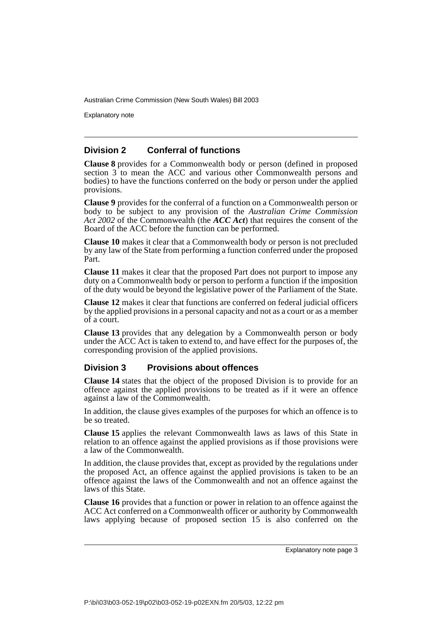Explanatory note

### **Division 2 Conferral of functions**

**Clause 8** provides for a Commonwealth body or person (defined in proposed section 3 to mean the ACC and various other Commonwealth persons and bodies) to have the functions conferred on the body or person under the applied provisions.

**Clause 9** provides for the conferral of a function on a Commonwealth person or body to be subject to any provision of the *Australian Crime Commission Act 2002* of the Commonwealth (the *ACC Act*) that requires the consent of the Board of the ACC before the function can be performed.

**Clause 10** makes it clear that a Commonwealth body or person is not precluded by any law of the State from performing a function conferred under the proposed Part.

**Clause 11** makes it clear that the proposed Part does not purport to impose any duty on a Commonwealth body or person to perform a function if the imposition of the duty would be beyond the legislative power of the Parliament of the State.

**Clause 12** makes it clear that functions are conferred on federal judicial officers by the applied provisions in a personal capacity and not as a court or as a member of a court.

**Clause 13** provides that any delegation by a Commonwealth person or body under the ACC Act is taken to extend to, and have effect for the purposes of, the corresponding provision of the applied provisions.

### **Division 3 Provisions about offences**

**Clause 14** states that the object of the proposed Division is to provide for an offence against the applied provisions to be treated as if it were an offence against a law of the Commonwealth.

In addition, the clause gives examples of the purposes for which an offence is to be so treated.

**Clause 15** applies the relevant Commonwealth laws as laws of this State in relation to an offence against the applied provisions as if those provisions were a law of the Commonwealth.

In addition, the clause provides that, except as provided by the regulations under the proposed Act, an offence against the applied provisions is taken to be an offence against the laws of the Commonwealth and not an offence against the laws of this State.

**Clause 16** provides that a function or power in relation to an offence against the ACC Act conferred on a Commonwealth officer or authority by Commonwealth laws applying because of proposed section 15 is also conferred on the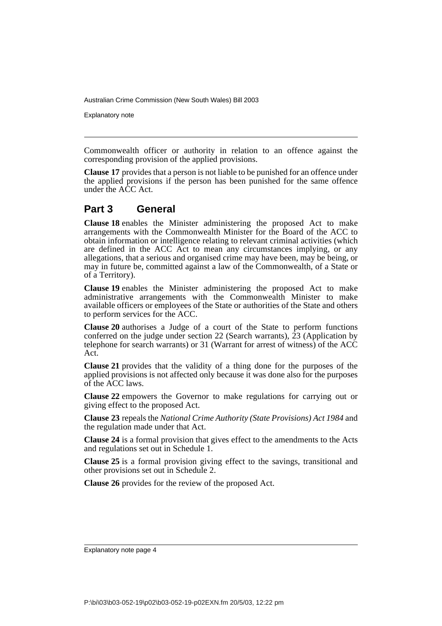Explanatory note

Commonwealth officer or authority in relation to an offence against the corresponding provision of the applied provisions.

**Clause 17** provides that a person is not liable to be punished for an offence under the applied provisions if the person has been punished for the same offence under the ACC Act.

### **Part 3 General**

**Clause 18** enables the Minister administering the proposed Act to make arrangements with the Commonwealth Minister for the Board of the ACC to obtain information or intelligence relating to relevant criminal activities (which are defined in the ACC Act to mean any circumstances implying, or any allegations, that a serious and organised crime may have been, may be being, or may in future be, committed against a law of the Commonwealth, of a State or of a Territory).

**Clause 19** enables the Minister administering the proposed Act to make administrative arrangements with the Commonwealth Minister to make available officers or employees of the State or authorities of the State and others to perform services for the ACC.

**Clause 20** authorises a Judge of a court of the State to perform functions conferred on the judge under section 22 (Search warrants), 23 (Application by telephone for search warrants) or 31 (Warrant for arrest of witness) of the ACC Act.

**Clause 21** provides that the validity of a thing done for the purposes of the applied provisions is not affected only because it was done also for the purposes of the ACC laws.

**Clause 22** empowers the Governor to make regulations for carrying out or giving effect to the proposed Act.

**Clause 23** repeals the *National Crime Authority (State Provisions) Act 1984* and the regulation made under that Act.

**Clause 24** is a formal provision that gives effect to the amendments to the Acts and regulations set out in Schedule 1.

**Clause 25** is a formal provision giving effect to the savings, transitional and other provisions set out in Schedule 2.

**Clause 26** provides for the review of the proposed Act.

Explanatory note page 4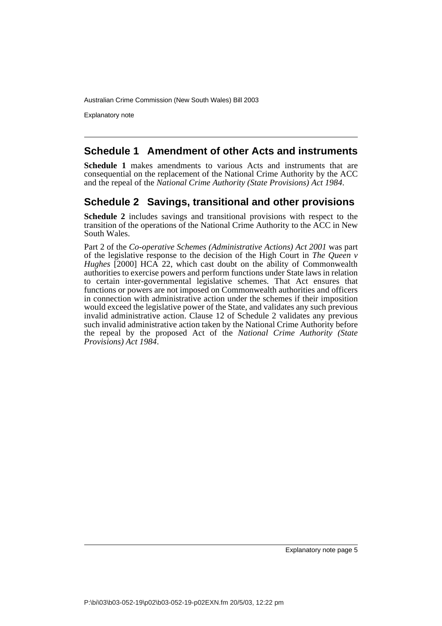Explanatory note

## **Schedule 1 Amendment of other Acts and instruments**

**Schedule 1** makes amendments to various Acts and instruments that are consequential on the replacement of the National Crime Authority by the ACC and the repeal of the *National Crime Authority (State Provisions) Act 1984*.

## **Schedule 2 Savings, transitional and other provisions**

**Schedule 2** includes savings and transitional provisions with respect to the transition of the operations of the National Crime Authority to the ACC in New South Wales.

Part 2 of the *Co-operative Schemes (Administrative Actions) Act 2001* was part of the legislative response to the decision of the High Court in *The Queen v Hughes* [2000] HCA 22, which cast doubt on the ability of Commonwealth authorities to exercise powers and perform functions under State laws in relation to certain inter-governmental legislative schemes. That Act ensures that functions or powers are not imposed on Commonwealth authorities and officers in connection with administrative action under the schemes if their imposition would exceed the legislative power of the State, and validates any such previous invalid administrative action. Clause 12 of Schedule 2 validates any previous such invalid administrative action taken by the National Crime Authority before the repeal by the proposed Act of the *National Crime Authority (State Provisions) Act 1984*.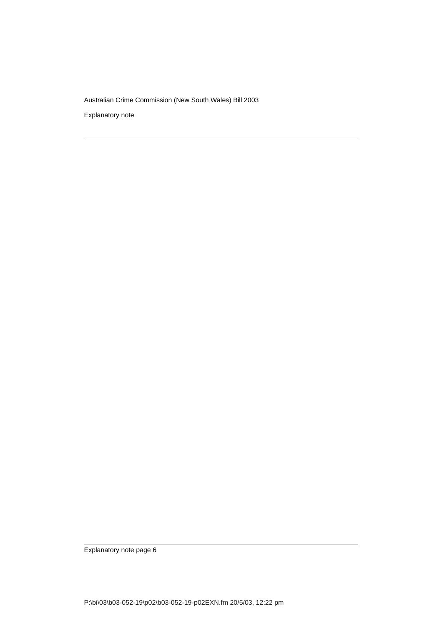Explanatory note

Explanatory note page 6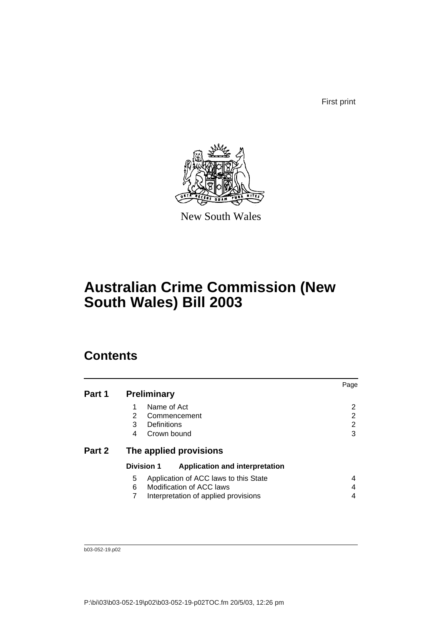First print



New South Wales

# **Australian Crime Commission (New South Wales) Bill 2003**

# **Contents**

|        |                        |                                       | Page |
|--------|------------------------|---------------------------------------|------|
| Part 1 | <b>Preliminary</b>     |                                       |      |
|        | Name of Act            |                                       | 2    |
|        | 2<br>Commencement      |                                       | 2    |
|        | 3<br>Definitions       |                                       | 2    |
|        | Crown bound<br>4       |                                       | 3    |
| Part 2 | The applied provisions |                                       |      |
|        | <b>Division 1</b>      | <b>Application and interpretation</b> |      |
|        | 5                      | Application of ACC laws to this State | 4    |
|        | 6                      | Modification of ACC laws              | 4    |
|        | 7                      | Interpretation of applied provisions  | 4    |
|        |                        |                                       |      |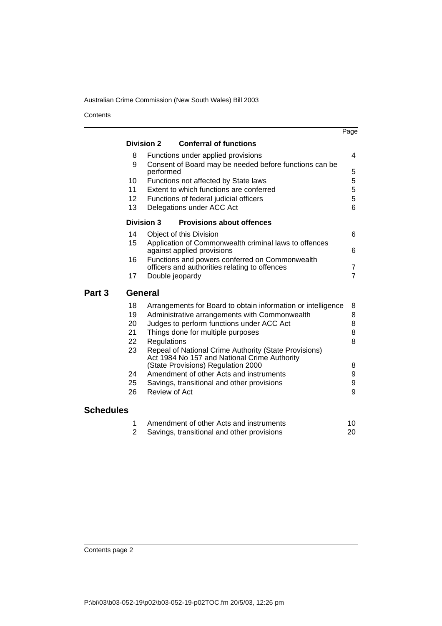**Contents** 

|                  |                |                   |                                                                                     | Page           |
|------------------|----------------|-------------------|-------------------------------------------------------------------------------------|----------------|
|                  |                | <b>Division 2</b> | <b>Conferral of functions</b>                                                       |                |
|                  | 8              |                   | Functions under applied provisions                                                  | 4              |
|                  | 9              | performed         | Consent of Board may be needed before functions can be                              | 5              |
|                  | 10             |                   | Functions not affected by State laws                                                | 5              |
|                  | 11             |                   | Extent to which functions are conferred                                             | 5              |
|                  | 12             |                   | Functions of federal judicial officers                                              | 5              |
|                  | 13             |                   | Delegations under ACC Act                                                           | 6              |
|                  |                | <b>Division 3</b> | <b>Provisions about offences</b>                                                    |                |
|                  | 14             |                   | Object of this Division                                                             | 6              |
|                  | 15             |                   | Application of Commonwealth criminal laws to offences<br>against applied provisions | 6              |
|                  | 16             |                   | Functions and powers conferred on Commonwealth                                      |                |
|                  |                |                   | officers and authorities relating to offences                                       | $\overline{7}$ |
|                  | 17             | Double jeopardy   |                                                                                     | $\overline{7}$ |
| Part 3           | General        |                   |                                                                                     |                |
|                  | 18             |                   | Arrangements for Board to obtain information or intelligence                        | 8              |
|                  | 19             |                   | Administrative arrangements with Commonwealth                                       | 8              |
|                  | 20             |                   | Judges to perform functions under ACC Act                                           | 8              |
|                  | 21<br>22       | Regulations       | Things done for multiple purposes                                                   | 8<br>8         |
|                  | 23             |                   | Repeal of National Crime Authority (State Provisions)                               |                |
|                  |                |                   | Act 1984 No 157 and National Crime Authority                                        |                |
|                  | 24             |                   | (State Provisions) Regulation 2000<br>Amendment of other Acts and instruments       | 8<br>9         |
|                  | 25             |                   | Savings, transitional and other provisions                                          | 9              |
|                  | 26             | Review of Act     |                                                                                     | 9              |
|                  |                |                   |                                                                                     |                |
| <b>Schedules</b> |                |                   |                                                                                     |                |
|                  | 1              |                   | Amendment of other Acts and instruments                                             | 10             |
|                  | $\overline{2}$ |                   | Savings, transitional and other provisions                                          | 20             |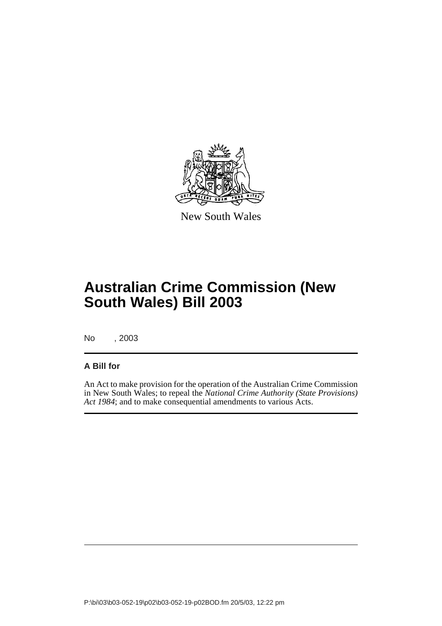

New South Wales

# **Australian Crime Commission (New South Wales) Bill 2003**

No , 2003

### **A Bill for**

An Act to make provision for the operation of the Australian Crime Commission in New South Wales; to repeal the *National Crime Authority (State Provisions) Act 1984*; and to make consequential amendments to various Acts.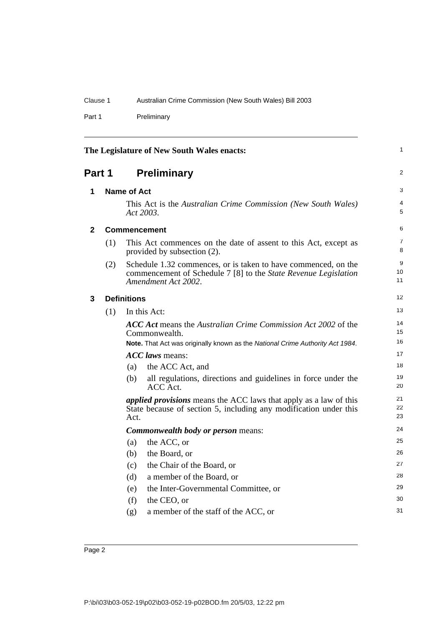Part 1 Preliminary

<span id="page-9-3"></span><span id="page-9-2"></span><span id="page-9-1"></span><span id="page-9-0"></span>

|              | The Legislature of New South Wales enacts: |                    |                                                                                                                                                                 |                |  |
|--------------|--------------------------------------------|--------------------|-----------------------------------------------------------------------------------------------------------------------------------------------------------------|----------------|--|
| Part 1       |                                            |                    | <b>Preliminary</b>                                                                                                                                              | 2              |  |
| 1            |                                            | <b>Name of Act</b> |                                                                                                                                                                 | 3              |  |
|              |                                            | Act 2003.          | This Act is the Australian Crime Commission (New South Wales)                                                                                                   | 4<br>5         |  |
| $\mathbf{2}$ |                                            |                    | <b>Commencement</b>                                                                                                                                             | 6              |  |
|              | (1)                                        |                    | This Act commences on the date of assent to this Act, except as<br>provided by subsection (2).                                                                  | 7<br>8         |  |
|              | (2)                                        |                    | Schedule 1.32 commences, or is taken to have commenced, on the<br>commencement of Schedule 7 [8] to the State Revenue Legislation<br>Amendment Act 2002.        | 9<br>10<br>11  |  |
| 3            | <b>Definitions</b>                         |                    |                                                                                                                                                                 | 12             |  |
|              | (1)                                        |                    | In this Act:                                                                                                                                                    | 13             |  |
|              |                                            |                    | ACC Act means the Australian Crime Commission Act 2002 of the<br>Commonwealth.<br>Note. That Act was originally known as the National Crime Authority Act 1984. | 14<br>15<br>16 |  |
|              |                                            |                    | ACC laws means:                                                                                                                                                 | 17             |  |
|              |                                            | (a)                | the ACC Act, and                                                                                                                                                | 18             |  |
|              |                                            | (b)                | all regulations, directions and guidelines in force under the<br><b>ACC</b> Act.                                                                                | 19<br>20       |  |
|              |                                            | Act.               | <i>applied provisions</i> means the ACC laws that apply as a law of this<br>State because of section 5, including any modification under this                   | 21<br>22<br>23 |  |
|              |                                            |                    | <b>Commonwealth body or person means:</b>                                                                                                                       | 24             |  |
|              |                                            | (a)                | the ACC, or                                                                                                                                                     | 25             |  |
|              |                                            | (b)                | the Board, or                                                                                                                                                   | 26             |  |
|              |                                            | (c)                | the Chair of the Board, or                                                                                                                                      | 27             |  |
|              |                                            | (d)                | a member of the Board, or                                                                                                                                       | 28             |  |
|              |                                            | (e)                | the Inter-Governmental Committee, or                                                                                                                            | 29             |  |
|              |                                            | (f)                | the CEO, or                                                                                                                                                     | 30             |  |
|              |                                            | (g)                | a member of the staff of the ACC, or                                                                                                                            | 31             |  |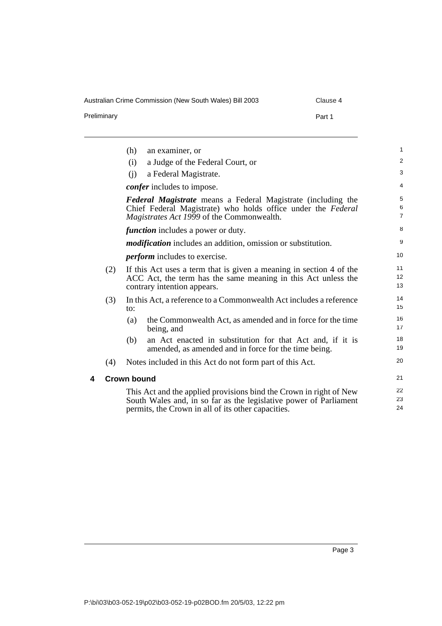Australian Crime Commission (New South Wales) Bill 2003 Clause 4

Preliminary **Preliminary Part 1** 

<span id="page-10-0"></span>

|   |     | (h)                | an examiner, or                                                                                                                                                                               | $\mathbf{1}$                |
|---|-----|--------------------|-----------------------------------------------------------------------------------------------------------------------------------------------------------------------------------------------|-----------------------------|
|   |     | (i)                | a Judge of the Federal Court, or                                                                                                                                                              | $\overline{2}$              |
|   |     | (i)                | a Federal Magistrate.                                                                                                                                                                         | 3                           |
|   |     |                    | <i>confer</i> includes to impose.                                                                                                                                                             | 4                           |
|   |     |                    | Federal Magistrate means a Federal Magistrate (including the<br>Chief Federal Magistrate) who holds office under the Federal<br><i>Magistrates Act 1999</i> of the Commonwealth.              | 5<br>6<br>$\overline{7}$    |
|   |     |                    | <i>function</i> includes a power or duty.                                                                                                                                                     | 8                           |
|   |     |                    | <i>modification</i> includes an addition, omission or substitution.                                                                                                                           | 9                           |
|   |     |                    | <i>perform</i> includes to exercise.                                                                                                                                                          | 10 <sup>1</sup>             |
|   | (2) |                    | If this Act uses a term that is given a meaning in section 4 of the<br>ACC Act, the term has the same meaning in this Act unless the<br>contrary intention appears.                           | 11<br>12 <sup>2</sup><br>13 |
|   | (3) | to:                | In this Act, a reference to a Commonwealth Act includes a reference                                                                                                                           | 14<br>15                    |
|   |     | (a)                | the Commonwealth Act, as amended and in force for the time<br>being, and                                                                                                                      | 16<br>17                    |
|   |     | (b)                | an Act enacted in substitution for that Act and, if it is<br>amended, as amended and in force for the time being.                                                                             | 18<br>19                    |
|   | (4) |                    | Notes included in this Act do not form part of this Act.                                                                                                                                      | 20                          |
| 4 |     | <b>Crown bound</b> |                                                                                                                                                                                               | 21                          |
|   |     |                    | This Act and the applied provisions bind the Crown in right of New<br>South Wales and, in so far as the legislative power of Parliament<br>permits, the Crown in all of its other capacities. | 22<br>23<br>24              |
|   |     |                    |                                                                                                                                                                                               |                             |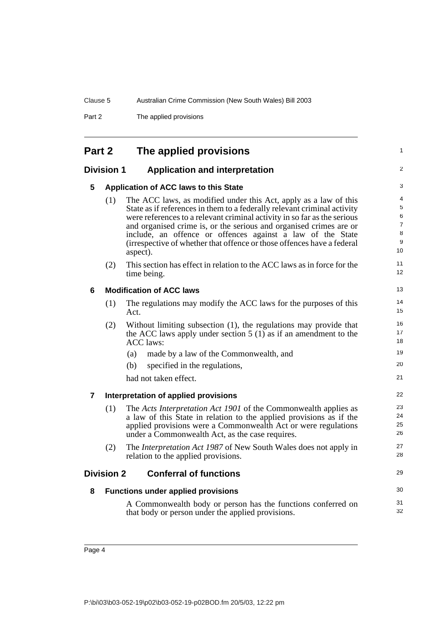Part 2 The applied provisions

<span id="page-11-6"></span><span id="page-11-5"></span><span id="page-11-4"></span><span id="page-11-3"></span><span id="page-11-2"></span><span id="page-11-1"></span><span id="page-11-0"></span>

| Part 2 |                   | The applied provisions                                                                                                                                                                                                                                                                                                                                                                                                                             | 1                                             |
|--------|-------------------|----------------------------------------------------------------------------------------------------------------------------------------------------------------------------------------------------------------------------------------------------------------------------------------------------------------------------------------------------------------------------------------------------------------------------------------------------|-----------------------------------------------|
|        | <b>Division 1</b> | <b>Application and interpretation</b>                                                                                                                                                                                                                                                                                                                                                                                                              | 2                                             |
| 5      |                   | <b>Application of ACC laws to this State</b>                                                                                                                                                                                                                                                                                                                                                                                                       | 3                                             |
|        | (1)               | The ACC laws, as modified under this Act, apply as a law of this<br>State as if references in them to a federally relevant criminal activity<br>were references to a relevant criminal activity in so far as the serious<br>and organised crime is, or the serious and organised crimes are or<br>include, an offence or offences against a law of the State<br>(irrespective of whether that offence or those offences have a federal<br>aspect). | 4<br>5<br>6<br>$\overline{7}$<br>8<br>9<br>10 |
|        | (2)               | This section has effect in relation to the ACC laws as in force for the<br>time being.                                                                                                                                                                                                                                                                                                                                                             | 11<br>12                                      |
| 6      |                   | <b>Modification of ACC laws</b>                                                                                                                                                                                                                                                                                                                                                                                                                    | 13                                            |
|        | (1)               | The regulations may modify the ACC laws for the purposes of this<br>Act.                                                                                                                                                                                                                                                                                                                                                                           | 14<br>15                                      |
|        | (2)               | Without limiting subsection (1), the regulations may provide that<br>the ACC laws apply under section $5(1)$ as if an amendment to the<br><b>ACC</b> laws:                                                                                                                                                                                                                                                                                         | 16<br>17<br>18                                |
|        |                   | (a)<br>made by a law of the Commonwealth, and                                                                                                                                                                                                                                                                                                                                                                                                      | 19                                            |
|        |                   | specified in the regulations,<br>(b)                                                                                                                                                                                                                                                                                                                                                                                                               | 20                                            |
|        |                   | had not taken effect.                                                                                                                                                                                                                                                                                                                                                                                                                              | 21                                            |
| 7      |                   | Interpretation of applied provisions                                                                                                                                                                                                                                                                                                                                                                                                               | 22                                            |
|        | (1)               | The Acts Interpretation Act 1901 of the Commonwealth applies as<br>a law of this State in relation to the applied provisions as if the<br>applied provisions were a Commonwealth Act or were regulations<br>under a Commonwealth Act, as the case requires.                                                                                                                                                                                        | 23<br>24<br>25<br>26                          |
|        | (2)               | The <i>Interpretation Act 1987</i> of New South Wales does not apply in<br>relation to the applied provisions.                                                                                                                                                                                                                                                                                                                                     | 27<br>28                                      |
|        | Division 2        | <b>Conferral of functions</b>                                                                                                                                                                                                                                                                                                                                                                                                                      | 29                                            |
| 8      |                   | <b>Functions under applied provisions</b>                                                                                                                                                                                                                                                                                                                                                                                                          | 30                                            |
|        |                   | A Commonwealth body or person has the functions conferred on<br>that body or person under the applied provisions.                                                                                                                                                                                                                                                                                                                                  | 31<br>32                                      |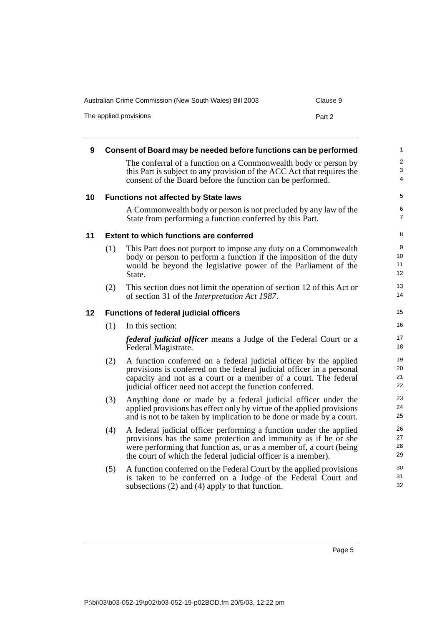<span id="page-12-0"></span>Australian Crime Commission (New South Wales) Bill 2003 Clause 9 The applied provisions **Part 2 9 Consent of Board may be needed before functions can be performed**

> The conferral of a function on a Commonwealth body or person by this Part is subject to any provision of the ACC Act that requires the consent of the Board before the function can be performed.

### <span id="page-12-1"></span>**10 Functions not affected by State laws**

A Commonwealth body or person is not precluded by any law of the State from performing a function conferred by this Part.

#### <span id="page-12-2"></span>**11 Extent to which functions are conferred**

- (1) This Part does not purport to impose any duty on a Commonwealth body or person to perform a function if the imposition of the duty would be beyond the legislative power of the Parliament of the State.
- (2) This section does not limit the operation of section 12 of this Act or of section 31 of the *Interpretation Act 1987*.

### <span id="page-12-3"></span>**12 Functions of federal judicial officers**

(1) In this section:

*federal judicial officer* means a Judge of the Federal Court or a Federal Magistrate.

- (2) A function conferred on a federal judicial officer by the applied provisions is conferred on the federal judicial officer in a personal capacity and not as a court or a member of a court. The federal judicial officer need not accept the function conferred.
- (3) Anything done or made by a federal judicial officer under the applied provisions has effect only by virtue of the applied provisions and is not to be taken by implication to be done or made by a court.
- (4) A federal judicial officer performing a function under the applied provisions has the same protection and immunity as if he or she were performing that function as, or as a member of, a court (being the court of which the federal judicial officer is a member).
- (5) A function conferred on the Federal Court by the applied provisions is taken to be conferred on a Judge of the Federal Court and subsections (2) and (4) apply to that function.

Page 5

> 5 6 7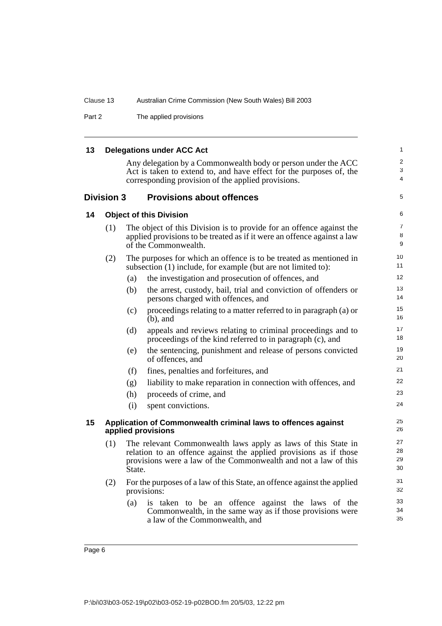Part 2 The applied provisions

<span id="page-13-3"></span><span id="page-13-2"></span><span id="page-13-1"></span><span id="page-13-0"></span>

| 13 |                   |        | <b>Delegations under ACC Act</b>                                                                                                                                                                      | $\mathbf{1}$             |
|----|-------------------|--------|-------------------------------------------------------------------------------------------------------------------------------------------------------------------------------------------------------|--------------------------|
|    |                   |        | Any delegation by a Commonwealth body or person under the ACC<br>Act is taken to extend to, and have effect for the purposes of, the<br>corresponding provision of the applied provisions.            | $\overline{2}$<br>3<br>4 |
|    | <b>Division 3</b> |        | <b>Provisions about offences</b>                                                                                                                                                                      | 5                        |
| 14 |                   |        | <b>Object of this Division</b>                                                                                                                                                                        | 6                        |
|    | (1)               |        | The object of this Division is to provide for an offence against the<br>applied provisions to be treated as if it were an offence against a law<br>of the Commonwealth.                               | $\overline{7}$<br>8<br>9 |
|    | (2)               |        | The purposes for which an offence is to be treated as mentioned in<br>subsection (1) include, for example (but are not limited to):                                                                   | 10<br>11                 |
|    |                   | (a)    | the investigation and prosecution of offences, and                                                                                                                                                    | 12 <sup>2</sup>          |
|    |                   | (b)    | the arrest, custody, bail, trial and conviction of offenders or<br>persons charged with offences, and                                                                                                 | 13<br>14                 |
|    |                   | (c)    | proceedings relating to a matter referred to in paragraph (a) or<br>$(b)$ , and                                                                                                                       | 15<br>16                 |
|    |                   | (d)    | appeals and reviews relating to criminal proceedings and to<br>proceedings of the kind referred to in paragraph (c), and                                                                              | 17<br>18                 |
|    |                   | (e)    | the sentencing, punishment and release of persons convicted<br>of offences, and                                                                                                                       | 19<br>20                 |
|    |                   | (f)    | fines, penalties and forfeitures, and                                                                                                                                                                 | 21                       |
|    |                   | (g)    | liability to make reparation in connection with offences, and                                                                                                                                         | 22                       |
|    |                   | (h)    | proceeds of crime, and                                                                                                                                                                                | 23                       |
|    |                   | (i)    | spent convictions.                                                                                                                                                                                    | 24                       |
| 15 |                   |        | Application of Commonwealth criminal laws to offences against<br>applied provisions                                                                                                                   | 25<br>26                 |
|    | (1)               | State. | The relevant Commonwealth laws apply as laws of this State in<br>relation to an offence against the applied provisions as if those<br>provisions were a law of the Commonwealth and not a law of this | 27<br>28<br>29<br>30     |
|    | (2)               |        | For the purposes of a law of this State, an offence against the applied<br>provisions:                                                                                                                | 31<br>32                 |
|    |                   | (a)    | is taken to be an offence against the laws of the<br>Commonwealth, in the same way as if those provisions were<br>a law of the Commonwealth, and                                                      | 33<br>34<br>35           |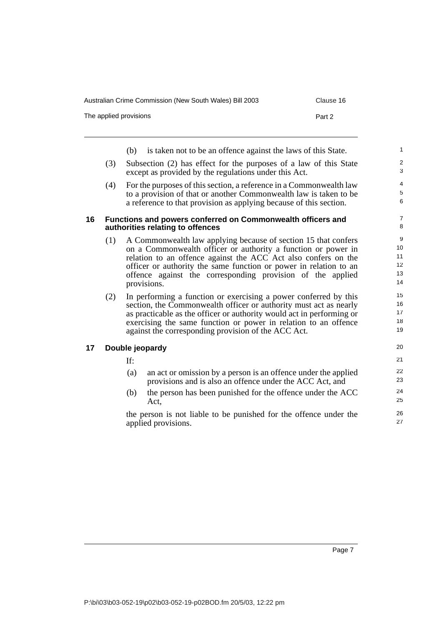| Australian Crime Commission (New South Wales) Bill 2003 | Clause 16 |
|---------------------------------------------------------|-----------|
| The applied provisions                                  | Part 2    |

<span id="page-14-1"></span><span id="page-14-0"></span>

|    |     | is taken not to be an offence against the laws of this State.<br>(b)                                                                                                                                                                                                                                                                                | $\mathbf{1}$                    |
|----|-----|-----------------------------------------------------------------------------------------------------------------------------------------------------------------------------------------------------------------------------------------------------------------------------------------------------------------------------------------------------|---------------------------------|
|    | (3) | Subsection (2) has effect for the purposes of a law of this State<br>except as provided by the regulations under this Act.                                                                                                                                                                                                                          | $\overline{2}$<br>3             |
|    | (4) | For the purposes of this section, a reference in a Commonwealth law<br>to a provision of that or another Commonwealth law is taken to be<br>a reference to that provision as applying because of this section.                                                                                                                                      | $\overline{4}$<br>5<br>6        |
| 16 |     | Functions and powers conferred on Commonwealth officers and<br>authorities relating to offences                                                                                                                                                                                                                                                     | $\overline{7}$<br>8             |
|    | (1) | A Commonwealth law applying because of section 15 that confers<br>on a Commonwealth officer or authority a function or power in<br>relation to an offence against the ACC Act also confers on the<br>officer or authority the same function or power in relation to an<br>offence against the corresponding provision of the applied<br>provisions. | 9<br>10<br>11<br>12<br>13<br>14 |
|    | (2) | In performing a function or exercising a power conferred by this<br>section, the Commonwealth officer or authority must act as nearly<br>as practicable as the officer or authority would act in performing or<br>exercising the same function or power in relation to an offence<br>against the corresponding provision of the ACC Act.            | 15<br>16<br>17<br>18<br>19      |
| 17 |     | Double jeopardy                                                                                                                                                                                                                                                                                                                                     | 20                              |
|    |     | If:                                                                                                                                                                                                                                                                                                                                                 | 21                              |
|    |     | an act or omission by a person is an offence under the applied<br>(a)<br>provisions and is also an offence under the ACC Act, and                                                                                                                                                                                                                   | 22<br>23                        |
|    |     | the person has been punished for the offence under the ACC<br>(b)<br>Act,                                                                                                                                                                                                                                                                           | 24<br>25                        |
|    |     | the person is not liable to be punished for the offence under the<br>applied provisions.                                                                                                                                                                                                                                                            | 26<br>27                        |
|    |     |                                                                                                                                                                                                                                                                                                                                                     |                                 |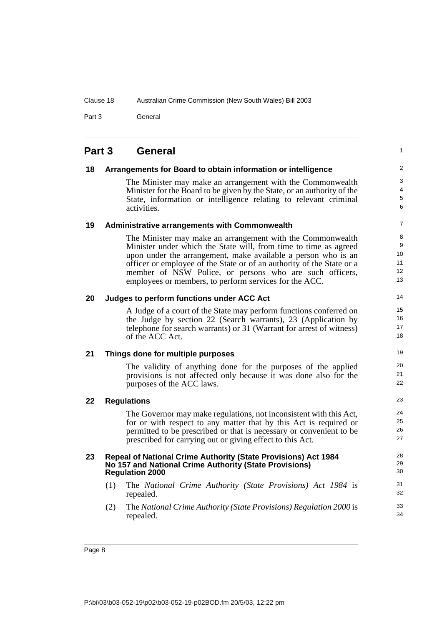Part 3 General

### <span id="page-15-0"></span>**Part 3 General**

### <span id="page-15-1"></span>**18 Arrangements for Board to obtain information or intelligence**

The Minister may make an arrangement with the Commonwealth Minister for the Board to be given by the State, or an authority of the State, information or intelligence relating to relevant criminal activities.

1

### <span id="page-15-2"></span>**19 Administrative arrangements with Commonwealth**

The Minister may make an arrangement with the Commonwealth Minister under which the State will, from time to time as agreed upon under the arrangement, make available a person who is an officer or employee of the State or of an authority of the State or a member of NSW Police, or persons who are such officers, employees or members, to perform services for the ACC.

#### <span id="page-15-3"></span>**20 Judges to perform functions under ACC Act**

A Judge of a court of the State may perform functions conferred on the Judge by section 22 (Search warrants), 23 (Application by telephone for search warrants) or 31 (Warrant for arrest of witness) of the ACC Act.

### <span id="page-15-4"></span>**21 Things done for multiple purposes**

The validity of anything done for the purposes of the applied provisions is not affected only because it was done also for the purposes of the ACC laws.

### <span id="page-15-5"></span>**22 Regulations**

The Governor may make regulations, not inconsistent with this Act, for or with respect to any matter that by this Act is required or permitted to be prescribed or that is necessary or convenient to be prescribed for carrying out or giving effect to this Act.

#### <span id="page-15-6"></span>**23 Repeal of National Crime Authority (State Provisions) Act 1984 No 157 and National Crime Authority (State Provisions) Regulation 2000**

- (1) The *National Crime Authority (State Provisions) Act 1984* is repealed.
- (2) The *National Crime Authority (State Provisions) Regulation 2000* is repealed.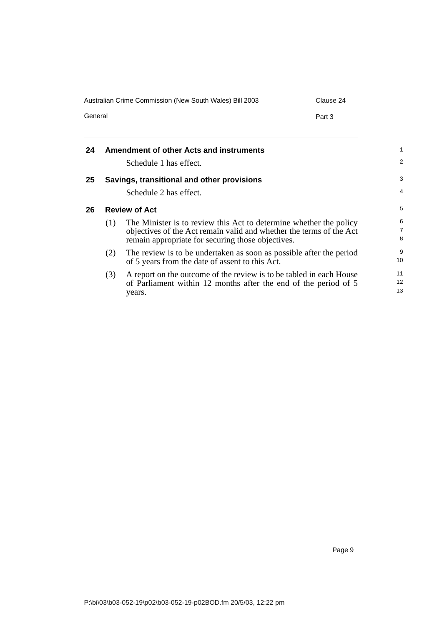<span id="page-16-2"></span><span id="page-16-1"></span><span id="page-16-0"></span>

| General |     | Part 3                                                                                                                                                                                         |                     |
|---------|-----|------------------------------------------------------------------------------------------------------------------------------------------------------------------------------------------------|---------------------|
| 24      |     | <b>Amendment of other Acts and instruments</b><br>Schedule 1 has effect.                                                                                                                       | 1<br>$\overline{2}$ |
| 25      |     | Savings, transitional and other provisions<br>Schedule 2 has effect.                                                                                                                           | 3<br>$\overline{4}$ |
| 26      |     | <b>Review of Act</b>                                                                                                                                                                           | 5                   |
|         | (1) | The Minister is to review this Act to determine whether the policy<br>objectives of the Act remain valid and whether the terms of the Act<br>remain appropriate for securing those objectives. | 6<br>7<br>8         |
|         | (2) | The review is to be undertaken as soon as possible after the period<br>of 5 years from the date of assent to this Act.                                                                         | 9<br>10             |
|         | (3) | A report on the outcome of the review is to be tabled in each House<br>of Parliament within 12 months after the end of the period of 5<br>years.                                               | 11<br>12<br>13      |

Australian Crime Commission (New South Wales) Bill 2003 Clause 24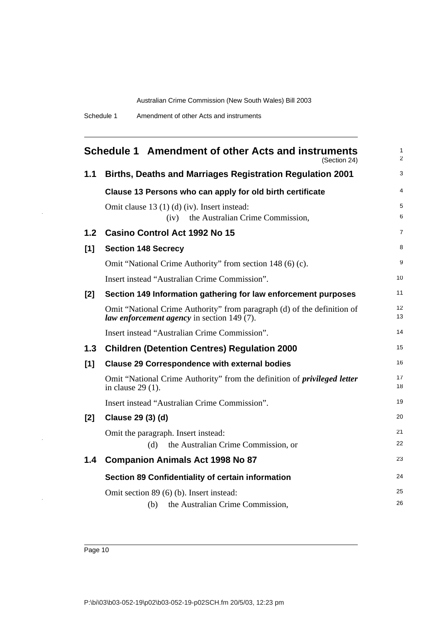<span id="page-17-0"></span>

|       | Schedule 1 Amendment of other Acts and instruments<br>(Section 24)                                                      | $\mathbf{1}$<br>2 |
|-------|-------------------------------------------------------------------------------------------------------------------------|-------------------|
| 1.1   | <b>Births, Deaths and Marriages Registration Regulation 2001</b>                                                        | 3                 |
|       | Clause 13 Persons who can apply for old birth certificate                                                               | $\overline{4}$    |
|       | Omit clause $13(1)(d)(iv)$ . Insert instead:<br>the Australian Crime Commission,<br>(iv)                                | 5<br>6            |
| 1.2   | Casino Control Act 1992 No 15                                                                                           | $\overline{7}$    |
| $[1]$ | <b>Section 148 Secrecy</b>                                                                                              | 8                 |
|       | Omit "National Crime Authority" from section 148 (6) (c).                                                               | 9                 |
|       | Insert instead "Australian Crime Commission".                                                                           | 10                |
| $[2]$ | Section 149 Information gathering for law enforcement purposes                                                          | 11                |
|       | Omit "National Crime Authority" from paragraph (d) of the definition of<br>law enforcement agency in section $149(7)$ . | 12<br>13          |
|       | Insert instead "Australian Crime Commission".                                                                           | 14                |
| 1.3   | <b>Children (Detention Centres) Regulation 2000</b>                                                                     | 15                |
| [1]   | <b>Clause 29 Correspondence with external bodies</b>                                                                    | 16                |
|       | Omit "National Crime Authority" from the definition of <i>privileged letter</i><br>in clause $29(1)$ .                  | 17<br>18          |
|       | Insert instead "Australian Crime Commission".                                                                           | 19                |
| $[2]$ | Clause 29 (3) (d)                                                                                                       | 20                |
|       | Omit the paragraph. Insert instead:<br>the Australian Crime Commission, or<br>(d)                                       | 21<br>22          |
| 1.4   | <b>Companion Animals Act 1998 No 87</b>                                                                                 | 23                |
|       | Section 89 Confidentiality of certain information                                                                       | 24                |
|       | Omit section 89 (6) (b). Insert instead:                                                                                | 25                |
|       | the Australian Crime Commission,<br>(b)                                                                                 | 26                |

Page 10

 $\overline{a}$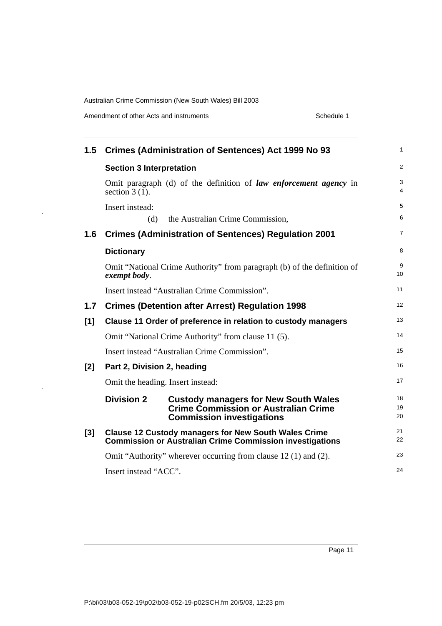Amendment of other Acts and instruments

 $\ddot{\phantom{a}}$ 

| Schedule 1 |  |  |
|------------|--|--|

| 1.5   |                                   | <b>Crimes (Administration of Sentences) Act 1999 No 93</b>                                                                     | 1              |
|-------|-----------------------------------|--------------------------------------------------------------------------------------------------------------------------------|----------------|
|       | <b>Section 3 Interpretation</b>   |                                                                                                                                | 2              |
|       | section $3(1)$ .                  | Omit paragraph (d) of the definition of <i>law enforcement agency</i> in                                                       | 3<br>4         |
|       | Insert instead:                   |                                                                                                                                | 5              |
|       | (d)                               | the Australian Crime Commission,                                                                                               | 6              |
| 1.6   |                                   | <b>Crimes (Administration of Sentences) Regulation 2001</b>                                                                    | 7              |
|       | <b>Dictionary</b>                 |                                                                                                                                | 8              |
|       | exempt body.                      | Omit "National Crime Authority" from paragraph (b) of the definition of                                                        | 9<br>10        |
|       |                                   | Insert instead "Australian Crime Commission".                                                                                  | 11             |
| 1.7   |                                   | <b>Crimes (Detention after Arrest) Regulation 1998</b>                                                                         | 12             |
| $[1]$ |                                   | Clause 11 Order of preference in relation to custody managers                                                                  | 13             |
|       |                                   | Omit "National Crime Authority" from clause 11 (5).                                                                            | 14             |
|       |                                   | Insert instead "Australian Crime Commission".                                                                                  | 15             |
| [2]   | Part 2, Division 2, heading       |                                                                                                                                | 16             |
|       | Omit the heading. Insert instead: |                                                                                                                                | 17             |
|       | <b>Division 2</b>                 | <b>Custody managers for New South Wales</b><br><b>Crime Commission or Australian Crime</b><br><b>Commission investigations</b> | 18<br>19<br>20 |
| [3]   |                                   | <b>Clause 12 Custody managers for New South Wales Crime</b><br><b>Commission or Australian Crime Commission investigations</b> | 21<br>22       |
|       |                                   | Omit "Authority" wherever occurring from clause 12 (1) and (2).                                                                | 23             |
|       | Insert instead "ACC".             |                                                                                                                                | 24             |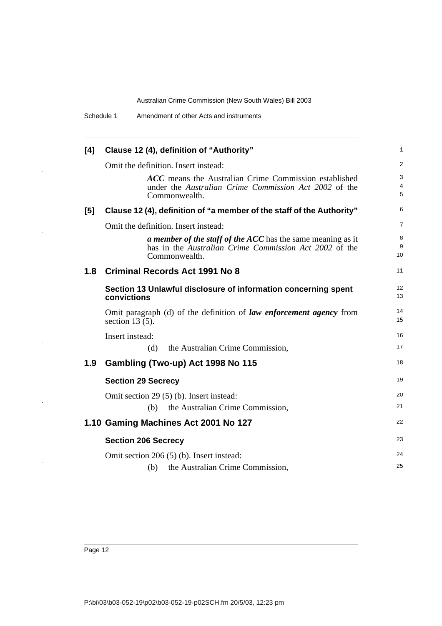| [4] | Clause 12 (4), definition of "Authority"                                                                                               | $\mathbf{1}$             |
|-----|----------------------------------------------------------------------------------------------------------------------------------------|--------------------------|
|     | Omit the definition. Insert instead:                                                                                                   | 2                        |
|     | ACC means the Australian Crime Commission established<br>under the Australian Crime Commission Act 2002 of the<br>Commonwealth.        | 3<br>$\overline{4}$<br>5 |
| [5] | Clause 12 (4), definition of "a member of the staff of the Authority"                                                                  | 6                        |
|     | Omit the definition. Insert instead:                                                                                                   | $\overline{7}$           |
|     | a member of the staff of the ACC has the same meaning as it<br>has in the Australian Crime Commission Act 2002 of the<br>Commonwealth. | 8<br>9<br>10             |
| 1.8 | <b>Criminal Records Act 1991 No 8</b>                                                                                                  | 11                       |
|     | Section 13 Unlawful disclosure of information concerning spent<br>convictions                                                          | 12<br>13                 |
|     | Omit paragraph (d) of the definition of law enforcement agency from<br>section $13(5)$ .                                               | 14<br>15                 |
|     | Insert instead:                                                                                                                        | 16                       |
|     | the Australian Crime Commission,<br>(d)                                                                                                | 17                       |
| 1.9 | Gambling (Two-up) Act 1998 No 115                                                                                                      | 18                       |
|     | <b>Section 29 Secrecy</b>                                                                                                              | 19                       |
|     | Omit section 29 (5) (b). Insert instead:                                                                                               | 20                       |
|     | the Australian Crime Commission,<br>(b)                                                                                                | 21                       |
|     | 1.10 Gaming Machines Act 2001 No 127                                                                                                   | 22                       |
|     | <b>Section 206 Secrecy</b>                                                                                                             | 23                       |
|     | Omit section 206 (5) (b). Insert instead:                                                                                              | 24                       |
|     | the Australian Crime Commission,<br>(b)                                                                                                | 25                       |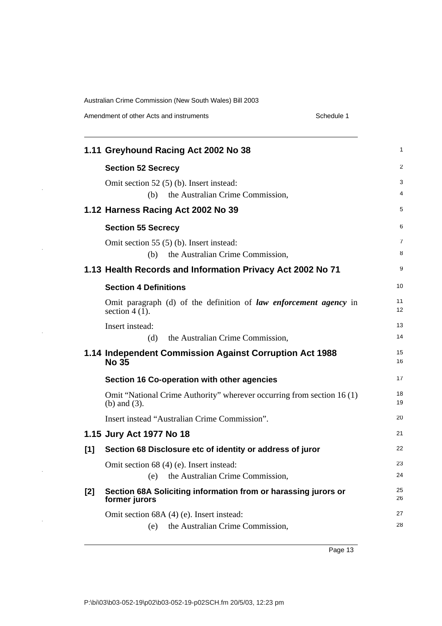Amendment of other Acts and instruments **Schedule 1** Schedule 1

ļ

 $\ddot{\phantom{a}}$ 

|       | 1.11 Greyhound Racing Act 2002 No 38                                                      | 1        |
|-------|-------------------------------------------------------------------------------------------|----------|
|       | <b>Section 52 Secrecy</b>                                                                 | 2        |
|       | Omit section 52 (5) (b). Insert instead:                                                  | 3        |
|       | the Australian Crime Commission,<br>(b)                                                   | 4        |
|       | 1.12 Harness Racing Act 2002 No 39                                                        | 5        |
|       | <b>Section 55 Secrecy</b>                                                                 | 6        |
|       | Omit section 55 (5) (b). Insert instead:                                                  | 7        |
|       | the Australian Crime Commission,<br>(b)                                                   | 8        |
|       | 1.13 Health Records and Information Privacy Act 2002 No 71                                | 9        |
|       | <b>Section 4 Definitions</b>                                                              | 10       |
|       | Omit paragraph (d) of the definition of law enforcement agency in<br>section $4(1)$ .     | 11<br>12 |
|       | Insert instead:                                                                           | 13       |
|       | the Australian Crime Commission,<br>(d)                                                   | 14       |
|       | 1.14 Independent Commission Against Corruption Act 1988<br><b>No 35</b>                   | 15<br>16 |
|       | Section 16 Co-operation with other agencies                                               | 17       |
|       | Omit "National Crime Authority" wherever occurring from section 16 (1)<br>(b) and $(3)$ . | 18<br>19 |
|       | Insert instead "Australian Crime Commission".                                             | 20       |
|       | 1.15 Jury Act 1977 No 18                                                                  | 21       |
| $[1]$ | Section 68 Disclosure etc of identity or address of juror                                 | 22       |
|       | Omit section 68 (4) (e). Insert instead:                                                  | 23       |
|       | the Australian Crime Commission,<br>(e)                                                   | 24       |
| $[2]$ | Section 68A Soliciting information from or harassing jurors or<br>former jurors           | 25<br>26 |
|       | Omit section 68A (4) (e). Insert instead:                                                 | 27       |
|       | the Australian Crime Commission,<br>(e)                                                   | 28       |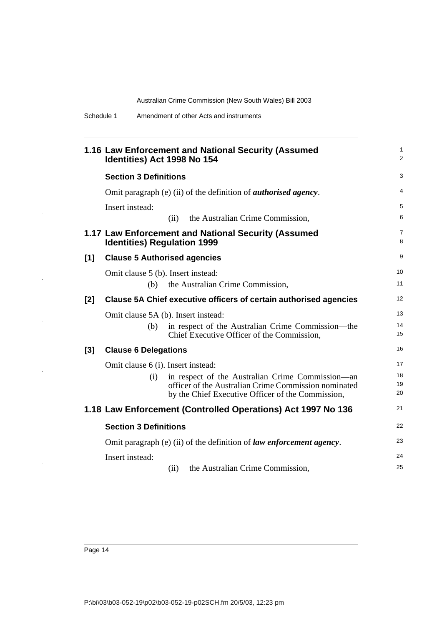|                     | 1.16 Law Enforcement and National Security (Assumed<br>Identities) Act 1998 No 154                                                                                   | $\mathbf{1}$<br>$\overline{2}$ |
|---------------------|----------------------------------------------------------------------------------------------------------------------------------------------------------------------|--------------------------------|
|                     | <b>Section 3 Definitions</b>                                                                                                                                         | 3                              |
|                     | Omit paragraph (e) (ii) of the definition of <i>authorised agency</i> .                                                                                              | 4                              |
|                     | Insert instead:                                                                                                                                                      | 5                              |
|                     | the Australian Crime Commission,<br>(ii)                                                                                                                             | 6                              |
|                     | 1.17 Law Enforcement and National Security (Assumed<br><b>Identities) Regulation 1999</b>                                                                            | $\overline{7}$<br>8            |
| [1]                 | <b>Clause 5 Authorised agencies</b>                                                                                                                                  | 9                              |
|                     | Omit clause 5 (b). Insert instead:                                                                                                                                   | 10 <sup>1</sup>                |
|                     | the Australian Crime Commission,<br>(b)                                                                                                                              | 11                             |
| $[2]$               | Clause 5A Chief executive officers of certain authorised agencies                                                                                                    | 12                             |
|                     | Omit clause 5A (b). Insert instead:                                                                                                                                  | 13                             |
|                     | in respect of the Australian Crime Commission—the<br>(b)<br>Chief Executive Officer of the Commission,                                                               | 14<br>15                       |
| $\lbrack 3 \rbrack$ | <b>Clause 6 Delegations</b>                                                                                                                                          | 16                             |
|                     | Omit clause 6 (i). Insert instead:                                                                                                                                   | 17                             |
|                     | in respect of the Australian Crime Commission—an<br>(i)<br>officer of the Australian Crime Commission nominated<br>by the Chief Executive Officer of the Commission, | 18<br>19<br>20                 |
|                     | 1.18 Law Enforcement (Controlled Operations) Act 1997 No 136                                                                                                         | 21                             |
|                     | <b>Section 3 Definitions</b>                                                                                                                                         | 22                             |
|                     | Omit paragraph (e) (ii) of the definition of <i>law enforcement agency</i> .                                                                                         | 23                             |
|                     | Insert instead:                                                                                                                                                      | 24                             |
|                     | the Australian Crime Commission,<br>(ii)                                                                                                                             | 25                             |

 $\mathbb{R}^2$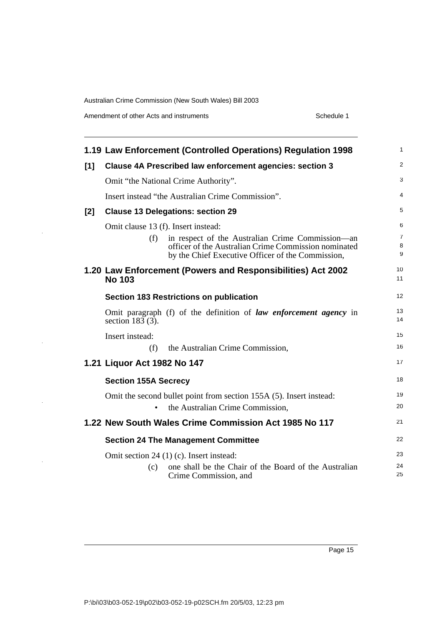Amendment of other Acts and instruments **Schedule 1** Schedule 1

 $\bar{z}$ 

 $\bar{\bar{z}}$ 

 $\bar{z}$ 

 $\hat{\boldsymbol{\beta}}$ 

|       | 1.19 Law Enforcement (Controlled Operations) Regulation 1998                                                                                                         | 1           |
|-------|----------------------------------------------------------------------------------------------------------------------------------------------------------------------|-------------|
| [1]   | <b>Clause 4A Prescribed law enforcement agencies: section 3</b>                                                                                                      | 2           |
|       | Omit "the National Crime Authority".                                                                                                                                 | 3           |
|       | Insert instead "the Australian Crime Commission".                                                                                                                    | 4           |
| $[2]$ | <b>Clause 13 Delegations: section 29</b>                                                                                                                             | 5           |
|       | Omit clause 13 (f). Insert instead:                                                                                                                                  | 6           |
|       | (f)<br>in respect of the Australian Crime Commission—an<br>officer of the Australian Crime Commission nominated<br>by the Chief Executive Officer of the Commission, | 7<br>8<br>9 |
|       | 1.20 Law Enforcement (Powers and Responsibilities) Act 2002<br><b>No 103</b>                                                                                         | 10<br>11    |
|       | <b>Section 183 Restrictions on publication</b>                                                                                                                       | 12          |
|       | Omit paragraph (f) of the definition of law enforcement agency in<br>section $183(3)$ .                                                                              | 13<br>14    |
|       | Insert instead:                                                                                                                                                      | 15          |
|       | the Australian Crime Commission,<br>(f)                                                                                                                              | 16          |
|       | 1.21 Liquor Act 1982 No 147                                                                                                                                          | 17          |
|       | <b>Section 155A Secrecy</b>                                                                                                                                          | 18          |
|       | Omit the second bullet point from section 155A (5). Insert instead:                                                                                                  | 19          |
|       | the Australian Crime Commission,<br>$\bullet$                                                                                                                        | 20          |
|       | 1.22 New South Wales Crime Commission Act 1985 No 117                                                                                                                | 21          |
|       | <b>Section 24 The Management Committee</b>                                                                                                                           | 22          |
|       | Omit section 24 (1) (c). Insert instead:                                                                                                                             | 23          |
|       | one shall be the Chair of the Board of the Australian<br>(c)<br>Crime Commission, and                                                                                | 24<br>25    |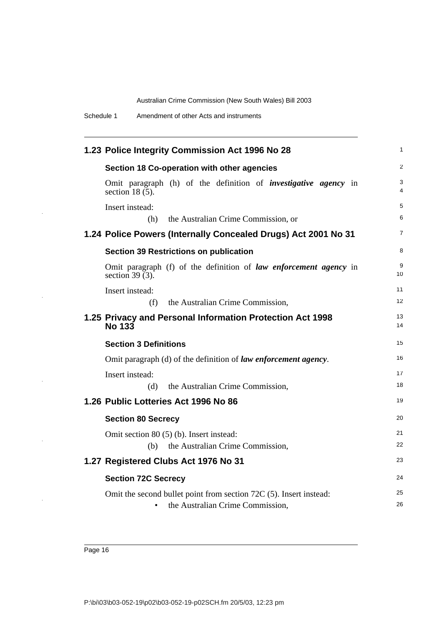Schedule 1 Amendment of other Acts and instruments

| 1.23 Police Integrity Commission Act 1996 No 28                                             | 1        |
|---------------------------------------------------------------------------------------------|----------|
| Section 18 Co-operation with other agencies                                                 | 2        |
| Omit paragraph (h) of the definition of <i>investigative agency</i> in<br>section $18(5)$ . | 3<br>4   |
| Insert instead:                                                                             | 5        |
| the Australian Crime Commission, or<br>(h)                                                  | 6        |
| 1.24 Police Powers (Internally Concealed Drugs) Act 2001 No 31                              | 7        |
| <b>Section 39 Restrictions on publication</b>                                               | 8        |
| Omit paragraph (f) of the definition of law enforcement agency in<br>section $39(3)$ .      | 9<br>10  |
| Insert instead:                                                                             | 11       |
| the Australian Crime Commission,<br>(f)                                                     | 12       |
| 1.25 Privacy and Personal Information Protection Act 1998<br><b>No 133</b>                  | 13<br>14 |
| <b>Section 3 Definitions</b>                                                                | 15       |
| Omit paragraph (d) of the definition of <i>law enforcement agency</i> .                     | 16       |
| Insert instead:                                                                             | 17       |
| (d)<br>the Australian Crime Commission,                                                     | 18       |
| 1.26 Public Lotteries Act 1996 No 86                                                        | 19       |
| <b>Section 80 Secrecy</b>                                                                   | 20       |
| Omit section 80 (5) (b). Insert instead:                                                    | 21       |
| the Australian Crime Commission,<br>(b)                                                     | 22       |
| 1.27 Registered Clubs Act 1976 No 31                                                        | 23       |
| <b>Section 72C Secrecy</b>                                                                  | 24       |
| Omit the second bullet point from section 72C (5). Insert instead:                          | 25<br>26 |
| the Australian Crime Commission,                                                            |          |

Page 16

 $\overline{\phantom{a}}$ 

 $\ddot{\phantom{a}}$ 

J.

l,

 $\ddot{\phantom{a}}$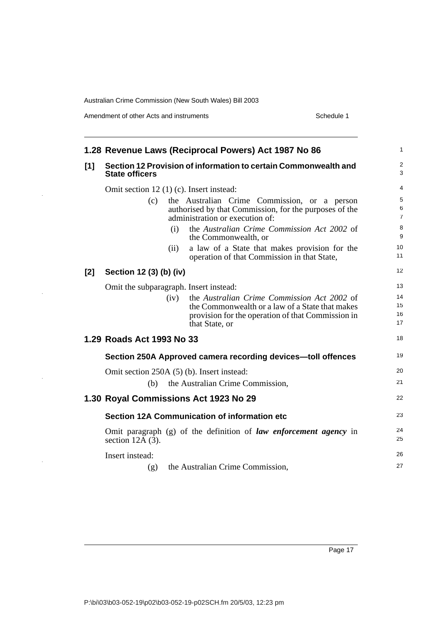Amendment of other Acts and instruments **Schedule 1** Schedule 1

l,

 $\ddot{\phantom{a}}$ 

J

| 1.28 Revenue Laws (Reciprocal Powers) Act 1987 No 86                                                                                                                          | $\mathbf{1}$             |
|-------------------------------------------------------------------------------------------------------------------------------------------------------------------------------|--------------------------|
| Section 12 Provision of information to certain Commonwealth and<br>[1]<br><b>State officers</b>                                                                               | $\overline{2}$<br>3      |
| Omit section 12 (1) (c). Insert instead:                                                                                                                                      | 4                        |
| (c)<br>the Australian Crime Commission, or a person<br>authorised by that Commission, for the purposes of the<br>administration or execution of:                              | 5<br>6<br>$\overline{7}$ |
| the Australian Crime Commission Act 2002 of<br>(i)<br>the Commonwealth, or                                                                                                    | 8<br>9                   |
| a law of a State that makes provision for the<br>(ii)<br>operation of that Commission in that State,                                                                          | 10<br>11                 |
| Section 12 (3) (b) (iv)<br>[2]                                                                                                                                                | 12                       |
| Omit the subparagraph. Insert instead:                                                                                                                                        | 13                       |
| the Australian Crime Commission Act 2002 of<br>(iv)<br>the Commonwealth or a law of a State that makes<br>provision for the operation of that Commission in<br>that State, or | 14<br>15<br>16<br>17     |
| 1.29 Roads Act 1993 No 33                                                                                                                                                     | 18                       |
| Section 250A Approved camera recording devices-toll offences                                                                                                                  | 19                       |
| Omit section 250A (5) (b). Insert instead:                                                                                                                                    | 20                       |
| the Australian Crime Commission,<br>(b)                                                                                                                                       | 21                       |
| 1.30 Royal Commissions Act 1923 No 29                                                                                                                                         | 22                       |
| <b>Section 12A Communication of information etc</b>                                                                                                                           | 23                       |
| Omit paragraph $(g)$ of the definition of law enforcement agency in<br>section $12\overline{A}$ (3).                                                                          | 24<br>25                 |
| Insert instead:                                                                                                                                                               | 26                       |
| the Australian Crime Commission,<br>(g)                                                                                                                                       | 27                       |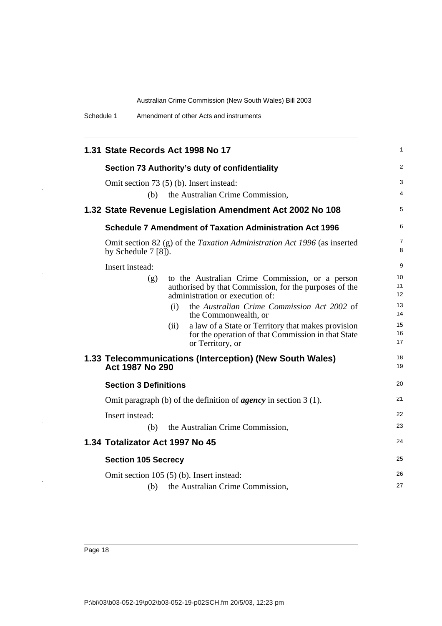Schedule 1 Amendment of other Acts and instruments

| 1.31 State Records Act 1998 No 17 |                                                                                                                  | 1                   |
|-----------------------------------|------------------------------------------------------------------------------------------------------------------|---------------------|
|                                   | Section 73 Authority's duty of confidentiality                                                                   | 2                   |
|                                   | Omit section 73 (5) (b). Insert instead:                                                                         | 3                   |
|                                   | (b) the Australian Crime Commission,                                                                             | 4                   |
|                                   | 1.32 State Revenue Legislation Amendment Act 2002 No 108                                                         | 5                   |
|                                   | <b>Schedule 7 Amendment of Taxation Administration Act 1996</b>                                                  | 6                   |
| by Schedule $7$ [8]).             | Omit section 82 (g) of the <i>Taxation Administration Act 1996</i> (as inserted                                  | $\overline{7}$<br>8 |
| Insert instead:                   |                                                                                                                  | 9                   |
| (g)                               | to the Australian Crime Commission, or a person                                                                  | 10<br>11            |
|                                   | authorised by that Commission, for the purposes of the<br>administration or execution of:                        | 12                  |
|                                   | the Australian Crime Commission Act 2002 of<br>(i)                                                               | 13                  |
|                                   | the Commonwealth, or                                                                                             | 14                  |
|                                   | a law of a State or Territory that makes provision<br>(11)<br>for the operation of that Commission in that State | 15<br>16            |
|                                   | or Territory, or                                                                                                 | 17                  |
| Act 1987 No 290                   | 1.33 Telecommunications (Interception) (New South Wales)                                                         | 18<br>19            |
| <b>Section 3 Definitions</b>      |                                                                                                                  | 20                  |
|                                   | Omit paragraph (b) of the definition of <i>agency</i> in section $3(1)$ .                                        | 21                  |
| Insert instead:                   |                                                                                                                  | 22                  |
| (b)                               | the Australian Crime Commission,                                                                                 | 23                  |
| 1.34 Totalizator Act 1997 No 45   |                                                                                                                  | 24                  |
| <b>Section 105 Secrecy</b>        |                                                                                                                  | 25                  |
|                                   | Omit section $105(5)(b)$ . Insert instead:                                                                       | 26                  |
| (b)                               | the Australian Crime Commission,                                                                                 | 27                  |
|                                   |                                                                                                                  |                     |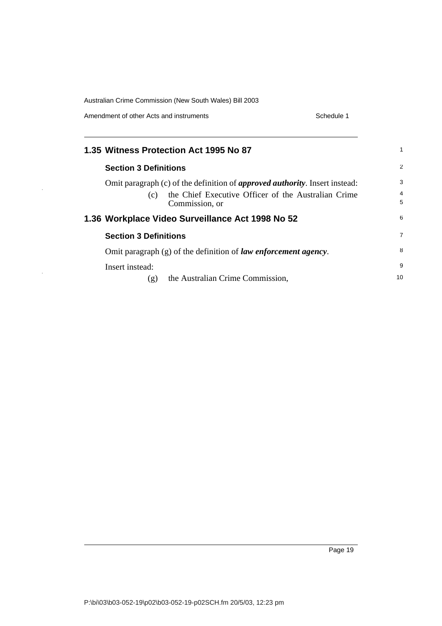Amendment of other Acts and instruments **Schedule 1** Schedule 1

| 1.35 Witness Protection Act 1995 No 87                                              |                |
|-------------------------------------------------------------------------------------|----------------|
| <b>Section 3 Definitions</b>                                                        | $\overline{2}$ |
| Omit paragraph (c) of the definition of <i>approved authority</i> . Insert instead: | 3              |
| the Chief Executive Officer of the Australian Crime<br>(c)<br>Commission, or        | 4<br>5         |
| 1.36 Workplace Video Surveillance Act 1998 No 52                                    | 6              |
| <b>Section 3 Definitions</b>                                                        | 7              |
| Omit paragraph $(g)$ of the definition of <i>law enforcement agency</i> .           | 8              |
| Insert instead:                                                                     | 9              |
| the Australian Crime Commission,<br>(g)                                             | 10             |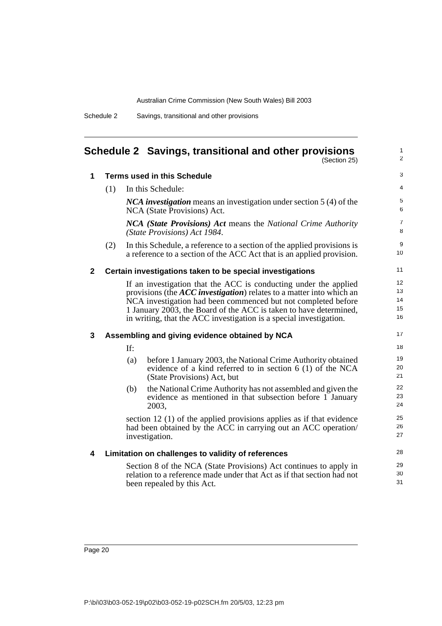Schedule 2 Savings, transitional and other provisions

<span id="page-27-0"></span>

|              |     |     | Schedule 2 Savings, transitional and other provisions<br>(Section 25)                                                                                                                                                                                                                                                                                        | 1<br>$\overline{\mathbf{c}}$ |
|--------------|-----|-----|--------------------------------------------------------------------------------------------------------------------------------------------------------------------------------------------------------------------------------------------------------------------------------------------------------------------------------------------------------------|------------------------------|
| $\mathbf{1}$ |     |     | <b>Terms used in this Schedule</b>                                                                                                                                                                                                                                                                                                                           | 3                            |
|              | (1) |     | In this Schedule:                                                                                                                                                                                                                                                                                                                                            | 4                            |
|              |     |     | <i>NCA investigation</i> means an investigation under section 5 (4) of the<br>NCA (State Provisions) Act.                                                                                                                                                                                                                                                    | 5<br>6                       |
|              |     |     | NCA (State Provisions) Act means the National Crime Authority<br>(State Provisions) Act 1984.                                                                                                                                                                                                                                                                | 7<br>8                       |
|              | (2) |     | In this Schedule, a reference to a section of the applied provisions is<br>a reference to a section of the ACC Act that is an applied provision.                                                                                                                                                                                                             | 9<br>10                      |
| $\mathbf{2}$ |     |     | Certain investigations taken to be special investigations                                                                                                                                                                                                                                                                                                    | 11                           |
|              |     |     | If an investigation that the ACC is conducting under the applied<br>provisions (the <i>ACC investigation</i> ) relates to a matter into which an<br>NCA investigation had been commenced but not completed before<br>1 January 2003, the Board of the ACC is taken to have determined,<br>in writing, that the ACC investigation is a special investigation. | 12<br>13<br>14<br>15<br>16   |
| 3            |     |     | Assembling and giving evidence obtained by NCA                                                                                                                                                                                                                                                                                                               | 17                           |
|              |     | If: |                                                                                                                                                                                                                                                                                                                                                              | 18                           |
|              |     | (a) | before 1 January 2003, the National Crime Authority obtained<br>evidence of a kind referred to in section $6(1)$ of the NCA<br>(State Provisions) Act, but                                                                                                                                                                                                   | 19<br>20<br>21               |
|              |     | (b) | the National Crime Authority has not assembled and given the<br>evidence as mentioned in that subsection before 1 January<br>2003,                                                                                                                                                                                                                           | 22<br>23<br>24               |
|              |     |     | section 12 $(1)$ of the applied provisions applies as if that evidence<br>had been obtained by the ACC in carrying out an ACC operation/<br>investigation.                                                                                                                                                                                                   | 25<br>26<br>27               |
| 4            |     |     | Limitation on challenges to validity of references                                                                                                                                                                                                                                                                                                           | 28                           |
|              |     |     | Section 8 of the NCA (State Provisions) Act continues to apply in<br>relation to a reference made under that Act as if that section had not<br>been repealed by this Act.                                                                                                                                                                                    | 29<br>30<br>31               |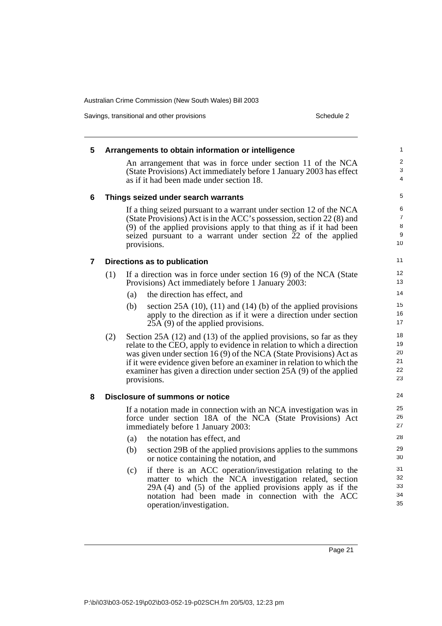Savings, transitional and other provisions Schedule 2 Schedule 2

| 5 |                                                                                                                                                                                                                                                                                                   | Arrangements to obtain information or intelligence |                                                                                                                                                                                                                                                                                                                                                                     | 1                                 |  |
|---|---------------------------------------------------------------------------------------------------------------------------------------------------------------------------------------------------------------------------------------------------------------------------------------------------|----------------------------------------------------|---------------------------------------------------------------------------------------------------------------------------------------------------------------------------------------------------------------------------------------------------------------------------------------------------------------------------------------------------------------------|-----------------------------------|--|
|   |                                                                                                                                                                                                                                                                                                   | as if it had been made under section 18.           | An arrangement that was in force under section 11 of the NCA<br>(State Provisions) Act immediately before 1 January 2003 has effect                                                                                                                                                                                                                                 | $\overline{\mathbf{c}}$<br>3<br>4 |  |
| 6 |                                                                                                                                                                                                                                                                                                   | Things seized under search warrants                |                                                                                                                                                                                                                                                                                                                                                                     | 5                                 |  |
|   | If a thing seized pursuant to a warrant under section 12 of the NCA<br>(State Provisions) Act is in the ACC's possession, section 22(8) and<br>(9) of the applied provisions apply to that thing as if it had been<br>seized pursuant to a warrant under section 22 of the applied<br>provisions. |                                                    |                                                                                                                                                                                                                                                                                                                                                                     |                                   |  |
| 7 |                                                                                                                                                                                                                                                                                                   | Directions as to publication                       |                                                                                                                                                                                                                                                                                                                                                                     | 11                                |  |
|   | (1)                                                                                                                                                                                                                                                                                               | Provisions) Act immediately before 1 January 2003: | If a direction was in force under section 16 $(9)$ of the NCA (State                                                                                                                                                                                                                                                                                                | 12<br>13                          |  |
|   |                                                                                                                                                                                                                                                                                                   | the direction has effect, and<br>(a)               |                                                                                                                                                                                                                                                                                                                                                                     | 14                                |  |
|   |                                                                                                                                                                                                                                                                                                   | (b)<br>25A (9) of the applied provisions.          | section 25A $(10)$ , $(11)$ and $(14)$ (b) of the applied provisions<br>apply to the direction as if it were a direction under section                                                                                                                                                                                                                              | 15<br>16<br>17                    |  |
|   | (2)                                                                                                                                                                                                                                                                                               | provisions.                                        | Section 25A (12) and (13) of the applied provisions, so far as they<br>relate to the CEO, apply to evidence in relation to which a direction<br>was given under section 16 (9) of the NCA (State Provisions) Act as<br>if it were evidence given before an examiner in relation to which the<br>examiner has given a direction under section 25A (9) of the applied | 18<br>19<br>20<br>21<br>22<br>23  |  |
| 8 |                                                                                                                                                                                                                                                                                                   | <b>Disclosure of summons or notice</b>             |                                                                                                                                                                                                                                                                                                                                                                     | 24                                |  |
|   |                                                                                                                                                                                                                                                                                                   | immediately before 1 January 2003:                 | If a notation made in connection with an NCA investigation was in<br>force under section 18A of the NCA (State Provisions) Act                                                                                                                                                                                                                                      | 25<br>26<br>27                    |  |
|   |                                                                                                                                                                                                                                                                                                   | the notation has effect, and<br>(a)                |                                                                                                                                                                                                                                                                                                                                                                     | 28                                |  |
|   |                                                                                                                                                                                                                                                                                                   | (b)<br>or notice containing the notation, and      | section 29B of the applied provisions applies to the summons                                                                                                                                                                                                                                                                                                        | 29<br>30                          |  |
|   |                                                                                                                                                                                                                                                                                                   | (c)<br>operation/investigation.                    | if there is an ACC operation/investigation relating to the<br>matter to which the NCA investigation related, section<br>$29A(4)$ and (5) of the applied provisions apply as if the<br>notation had been made in connection with the ACC                                                                                                                             | 31<br>32<br>33<br>34<br>35        |  |
|   |                                                                                                                                                                                                                                                                                                   |                                                    |                                                                                                                                                                                                                                                                                                                                                                     |                                   |  |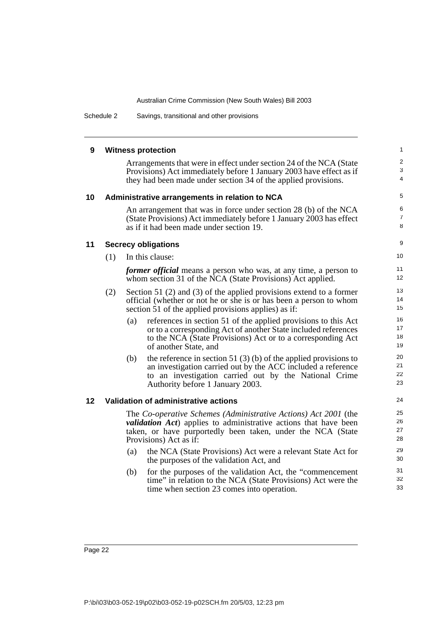Schedule 2 Savings, transitional and other provisions

| 9  | <b>Witness protection</b> |     |                                                                                                                                                                                                                                      |                              |  |
|----|---------------------------|-----|--------------------------------------------------------------------------------------------------------------------------------------------------------------------------------------------------------------------------------------|------------------------------|--|
|    |                           |     | Arrangements that were in effect under section 24 of the NCA (State<br>Provisions) Act immediately before 1 January 2003 have effect as if<br>they had been made under section 34 of the applied provisions.                         | $\overline{2}$<br>3<br>4     |  |
| 10 |                           |     | Administrative arrangements in relation to NCA                                                                                                                                                                                       | 5                            |  |
|    |                           |     | An arrangement that was in force under section 28 (b) of the NCA<br>(State Provisions) Act immediately before 1 January 2003 has effect<br>as if it had been made under section 19.                                                  | 6<br>$\overline{7}$<br>8     |  |
| 11 |                           |     | <b>Secrecy obligations</b>                                                                                                                                                                                                           | 9                            |  |
|    | (1)                       |     | In this clause:                                                                                                                                                                                                                      | 10                           |  |
|    |                           |     | <i>former official</i> means a person who was, at any time, a person to<br>whom section 31 of the NCA (State Provisions) Act applied.                                                                                                | 11<br>12 <sup>2</sup>        |  |
|    | (2)                       |     | Section 51 $(2)$ and $(3)$ of the applied provisions extend to a former<br>official (whether or not he or she is or has been a person to whom<br>section 51 of the applied provisions applies) as if:                                | 13<br>14<br>15 <sup>15</sup> |  |
|    |                           | (a) | references in section 51 of the applied provisions to this Act<br>or to a corresponding Act of another State included references<br>to the NCA (State Provisions) Act or to a corresponding Act<br>of another State, and             | 16<br>17<br>18<br>19         |  |
|    |                           | (b) | the reference in section 51 (3) (b) of the applied provisions to<br>an investigation carried out by the ACC included a reference<br>to an investigation carried out by the National Crime<br>Authority before 1 January 2003.        | 20<br>21<br>22<br>23         |  |
| 12 |                           |     | Validation of administrative actions                                                                                                                                                                                                 | 24                           |  |
|    |                           |     | The Co-operative Schemes (Administrative Actions) Act 2001 (the<br><i>validation Act</i> ) applies to administrative actions that have been<br>taken, or have purportedly been taken, under the NCA (State<br>Provisions) Act as if: | 25<br>26<br>27<br>28         |  |
|    |                           | (a) | the NCA (State Provisions) Act were a relevant State Act for<br>the purposes of the validation Act, and                                                                                                                              | 29<br>30                     |  |
|    |                           | (b) | for the purposes of the validation Act, the "commencement"<br>time" in relation to the NCA (State Provisions) Act were the<br>time when section 23 comes into operation.                                                             | 31<br>32<br>33               |  |